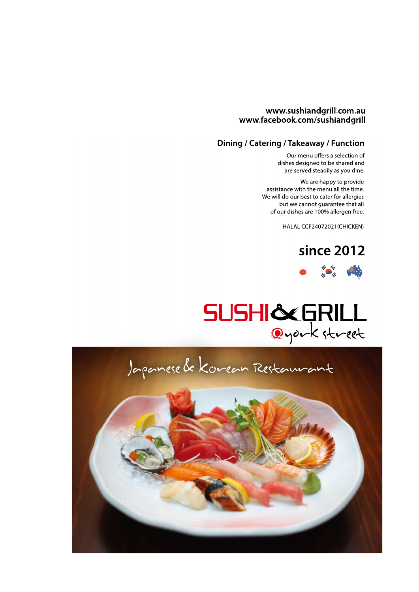#### www.sushiandgrill.com.au www.facebook.com/sushiandgrill

#### Dining / Catering / Takeaway / Function

Our menu offers a selection of dishes designed to be shared and are served steadily as you dine.

We are happy to provide assistance with the menu all the time. We will do our best to cater for allergies but we cannot guarantee that all of our dishes are 100% allergen free.

HALAL CCF24072021(CHICKEN)





# SUSHI&GRILL

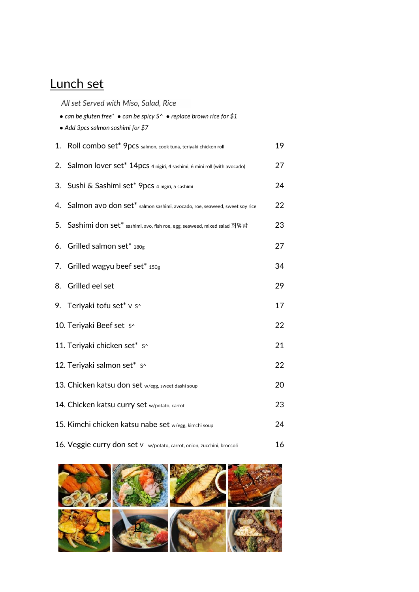# Lunch set

*All set Served with Miso, Salad, Rice*

|    | • can be gluten free* • can be spicy $S^{\wedge}$ • replace brown rice for \$1<br>• Add 3pcs salmon sashimi for \$7 |    |  |  |
|----|---------------------------------------------------------------------------------------------------------------------|----|--|--|
|    | 1. Roll combo set* 9pcs salmon, cook tuna, teriyaki chicken roll                                                    | 19 |  |  |
| 2. | Salmon lover set* 14pcs 4 nigiri, 4 sashimi, 6 mini roll (with avocado)                                             | 27 |  |  |
|    | 3. Sushi & Sashimi set* 9pcs 4 nigiri, 5 sashimi                                                                    | 24 |  |  |
| 4. | Salmon avo don set* salmon sashimi, avocado, roe, seaweed, sweet soy rice                                           | 22 |  |  |
|    | 5. Sashimi don set* sashimi, avo, fish roe, egg, seaweed, mixed salad 회덮밥                                           | 23 |  |  |
|    | 6. Grilled salmon set* $180g$                                                                                       | 27 |  |  |
| 7. | Grilled wagyu beef set* 150g                                                                                        | 34 |  |  |
| 8. | Grilled eel set                                                                                                     | 29 |  |  |
|    | 9. Teriyaki tofu set* v s^                                                                                          | 17 |  |  |
|    | 10. Teriyaki Beef set s^                                                                                            | 22 |  |  |
|    | 11. Teriyaki chicken set* s^                                                                                        | 21 |  |  |
|    | 12. Teriyaki salmon set* s^                                                                                         | 22 |  |  |
|    | 13. Chicken katsu don set w/egg, sweet dashi soup                                                                   | 20 |  |  |
|    | 14. Chicken katsu curry set w/potato, carrot                                                                        | 23 |  |  |
|    | 15. Kimchi chicken katsu nabe set w/egg, kimchi soup                                                                | 24 |  |  |
|    | 16. Veggie curry don set V w/potato, carrot, onion, zucchini, broccoli                                              | 16 |  |  |

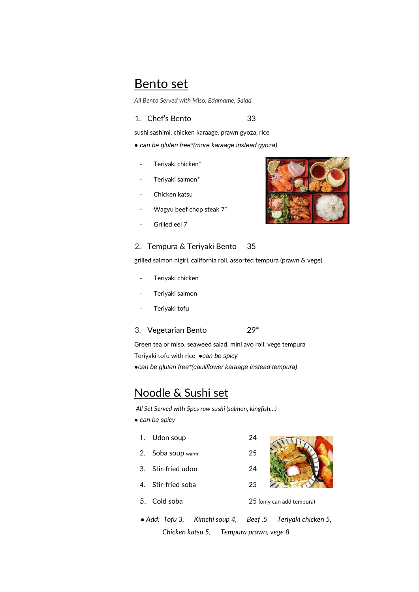#### Bento set

*All Bento Served with Miso, Edamame, Salad*

#### 1. Chef's Bento 33

sushi sashimi, chicken karaage, prawn gyoza, rice

- *● can be gluten free\*(more karaage instead gyoza)*
	- Teriyaki chicken\*
	- Teriyaki salmon\*
	- Chicken katsu
	- Wagyu beef chop steak  $7^*$
	- Grilled eel 7

#### 2. Tempura & Teriyaki Bento 35

grilled salmon nigiri, california roll, assorted tempura (prawn & vege)

- Teriyaki chicken
- Teriyaki salmon
- Teriyaki tofu
- 3. Vegetarian Bento 29\*

Green tea or miso, seaweed salad, mini avo roll, vege tempura

Teriyaki tofu with rice *●can be spicy*

*●can be gluten free\*(cauliflower karaage instead tempura)*

#### Noodle & Sushi set

 *All Set Served with 5pcs raw sushi (salmon, kingfish…)*

- *● can be spicy*
	- 1. Udon soup 24
	- 2. Soba soup warm 25
- 3. Stir-fried udon 24
- 4. Stir-fried soba 25
- 5. Cold soba 25 (only can add tempura)
- *● Add: Tofu 3, Kimchi soup 4, Beef ,5 Teriyaki chicken 5, Chicken katsu 5, Tempura prawn, vege 8*

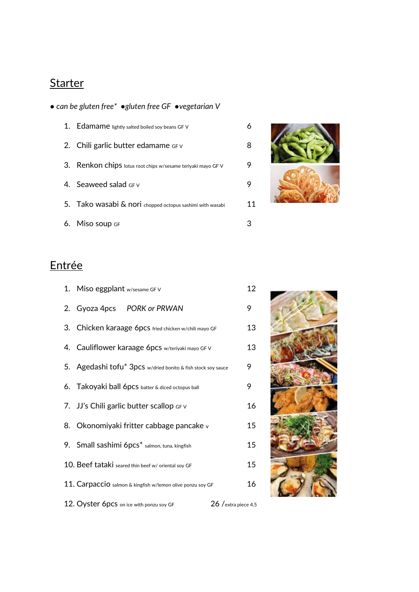# **Starter**

#### *● can be gluten free\* ●gluten free GF ●vegetarian V*

| 1. Edamame lightly salted boiled soy beans GF V              |    |
|--------------------------------------------------------------|----|
| 2. Chili garlic butter edamame $GFV$                         |    |
| 3. Renkon chips lotus root chips w/sesame teriyaki mayo GF V | 9  |
| 4. Seaweed salad $GFV$                                       |    |
| 5. Tako wasabi & nori chopped octopus sashimi with wasabi    | 11 |
| 6. Miso soup GF                                              |    |



# Entrée

| 1. Miso eggplant w/sesame GF V                               | 12                    |
|--------------------------------------------------------------|-----------------------|
| 2. Gyoza 4pcs PORK or PRWAN                                  | 9                     |
| 3. Chicken karaage 6pcs fried chicken w/chili mayo GF        | 13                    |
| 4. Cauliflower karaage 6pcs w/teriyaki mayo GF V             | 13                    |
| 5. Agedashi tofu* 3pcs w/dried bonito & fish stock soy sauce | 9                     |
| 6. Takoyaki ball 6pcs batter & diced octopus ball            | 9                     |
| 7. JJ's Chili garlic butter scallop GFV                      | 16                    |
| 8. Okonomiyaki fritter cabbage pancake v                     | 15                    |
| 9. Small sashimi 6pcs* salmon, tuna, kingfish                | 15                    |
| 10. Beef tataki seared thin beef w/ oriental soy GF          | 15                    |
| 11. Carpaccio salmon & kingfish w/lemon olive ponzu soy GF   | 16                    |
| 12. Oyster 6pcs on ice with ponzu soy GF                     | $26/$ extra piece 4.5 |

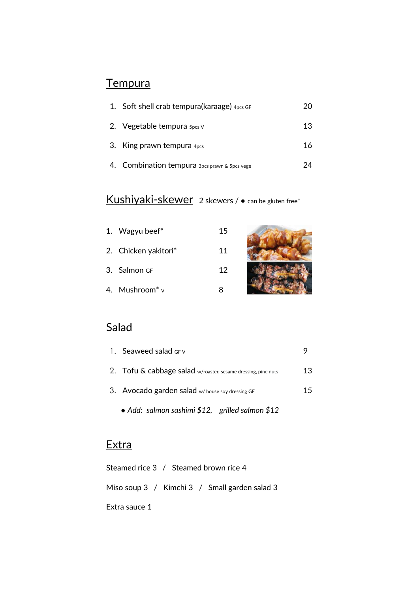# **Tempura**

| 1. Soft shell crab tempura(karaage) $4pcs$ GF | 20 |
|-----------------------------------------------|----|
| 2. Vegetable tempura $\frac{5}{2}$ v          | 13 |
| 3. King prawn tempura $4pcs$                  | 16 |
| 4. Combination tempura 3pcs prawn & 5pcs vege |    |

# Kushiyaki-skewer 2 skewers / • can be gluten free\*

| 1. Wagyu beef*                  | 15 |  |
|---------------------------------|----|--|
| 2. Chicken yakitori*            | 11 |  |
| 3. Salmon GF                    | 12 |  |
| 4. Mushroom <sup>*</sup> $\vee$ |    |  |

#### **Salad**

| 13 |
|----|
| 15 |
|    |

 *● Add: salmon sashimi \$12, grilled salmon \$12*

## **Extra**

| Steamed rice 3 / Steamed brown rice 4 |  |                                               |  |
|---------------------------------------|--|-----------------------------------------------|--|
|                                       |  | Miso soup 3 / Kimchi 3 / Small garden salad 3 |  |
| Extra sauce 1                         |  |                                               |  |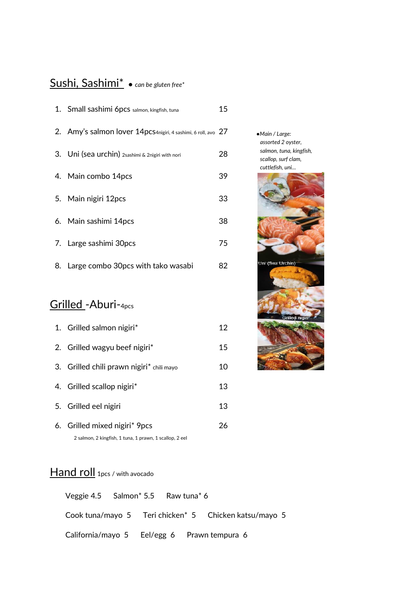#### Sushi, Sashimi\* *● can be gluten free\**

|    | 1. Small sashimi 6pcs salmon, kingfish, tuna                  | 15 |
|----|---------------------------------------------------------------|----|
|    | 2. Amy's salmon lover 14pcs4nigiri, 4 sashimi, 6 roll, avo 27 |    |
|    | 3. Uni (sea urchin) 2sashimi & 2nigiri with nori              | 28 |
|    | 4. Main combo 14pcs                                           | 39 |
|    | 5. Main nigiri 12pcs                                          | 33 |
|    | 6. Main sashimi 14pcs                                         | 38 |
|    | 7. Large sashimi 30pcs                                        | 75 |
| 8. | Large combo 30pcs with tako wasabi                            | 82 |

#### Grilled -Aburi-4pcs

| 1. Grilled salmon nigiri*                               | 12 |
|---------------------------------------------------------|----|
| 2. Grilled wagyu beef nigiri*                           | 15 |
| 3. Grilled chili prawn nigiri* chili mayo               | 10 |
| 4. Grilled scallop nigiri <sup>*</sup>                  | 13 |
| 5. Grilled eel nigiri                                   | 13 |
| 6. Grilled mixed nigiri* 9pcs                           | 26 |
| 2 salmon, 2 kingfish, 1 tuna, 1 prawn, 1 scallop, 2 eel |    |

*●Main / Large: assorted 2 oyster, salmon, tuna, kingfish, scallop, surf clam, cuttlefish, uni…*



#### Hand roll 1pcs / with avocado

Veggie 4.5 Salmon\* 5.5 Raw tuna\* 6 Cook tuna/mayo 5 Teri chicken\* 5 Chicken katsu/mayo 5 California/mayo 5 Eel/egg 6 Prawn tempura 6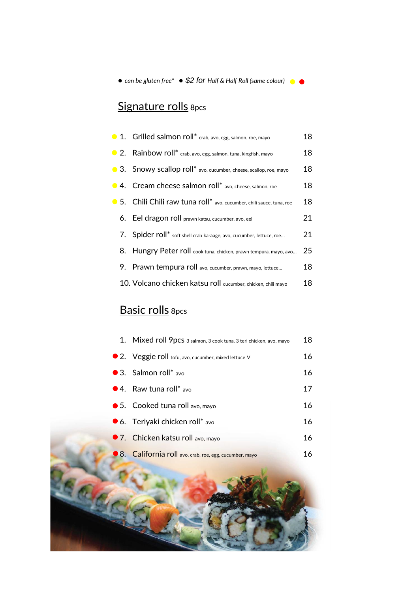*● can be gluten free\* ● \$2 for Half & Half Roll (same colour)*

# Signature rolls 8pcs

| ● 1. Grilled salmon roll* crab, avo, egg, salmon, roe, mayo           | 18 |
|-----------------------------------------------------------------------|----|
| ● 2. Rainbow roll* crab, avo, egg, salmon, tuna, kingfish, mayo       | 18 |
| • 3. Snowy scallop roll* avo, cucumber, cheese, scallop, roe, mayo    | 18 |
| • 4. Cream cheese salmon roll* avo, cheese, salmon, roe               | 18 |
| ● 5. Chili Chili raw tuna roll* avo, cucumber, chili sauce, tuna, roe | 18 |
| 6. Eel dragon roll prawn katsu, cucumber, avo, eel                    | 21 |
| 7. Spider roll* soft shell crab karaage, avo, cucumber, lettuce, roe  | 21 |
| 8. Hungry Peter roll cook tuna, chicken, prawn tempura, mayo, avo     | 25 |
| 9. Prawn tempura roll avo, cucumber, prawn, mayo, lettuce             | 18 |
| 10. Volcano chicken katsu roll cucumber, chicken, chili mayo          | 18 |

# Basic rolls 8pcs

| 1. Mixed roll 9pcs 3 salmon, 3 cook tuna, 3 teri chicken, avo, mayo | 18 |
|---------------------------------------------------------------------|----|
| • 2. Veggie roll tofu, avo, cucumber, mixed lettuce V               | 16 |
| ● 3. Salmon roll* avo                                               | 16 |
| ● 4. Raw tuna roll* avo                                             | 17 |
| $\bullet$ 5. Cooked tuna roll avo, mayo                             | 16 |
| ● 6. Teriyaki chicken roll* avo                                     | 16 |
| ● 7. Chicken katsu roll avo, mayo                                   | 16 |
| 8. California roll avo, crab, roe, egg, cucumber, mayo              | 16 |
|                                                                     |    |
|                                                                     |    |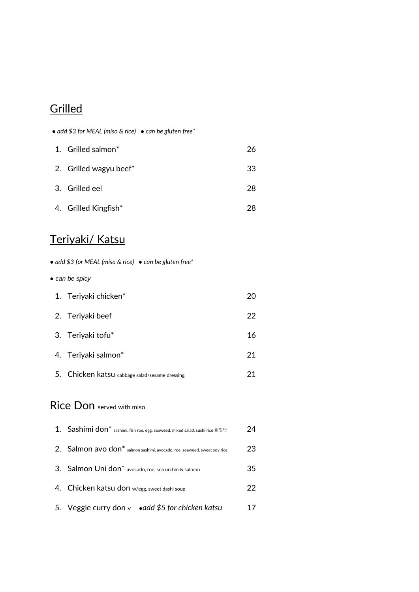## **Grilled**

|    | • add \$3 for MEAL (miso & rice) • can be gluten free*                            |    |
|----|-----------------------------------------------------------------------------------|----|
|    | 1. Grilled salmon*                                                                | 26 |
|    | 2. Grilled wagyu beef*                                                            | 33 |
|    | 3. Grilled eel                                                                    | 28 |
|    | 4. Grilled Kingfish*                                                              | 28 |
|    | <u>Teriyaki/ Katsu</u>                                                            |    |
|    | • add \$3 for MEAL (miso & rice) • can be gluten free*                            |    |
|    | • can be spicy                                                                    |    |
|    | 1. Teriyaki chicken*                                                              | 20 |
|    | 2. Teriyaki beef                                                                  | 22 |
|    | 3. Teriyaki tofu*                                                                 | 16 |
|    | 4. Teriyaki salmon*                                                               | 21 |
|    | 5. Chicken katsu cabbage salad/sesame dressing                                    | 21 |
|    | Rice Don served with miso                                                         |    |
|    | 1. Sashimi don* sashimi, fish roe, egg, seaweed, mixed salad, sushi rice 회덮밥      | 24 |
| 2. | Salmon avo don <sup>*</sup> salmon sashimi, avocado, roe, seaweed, sweet soy rice | 23 |
| 3. | Salmon Uni don <sup>*</sup> avocado, roe, sea urchin & salmon                     | 35 |
| 4. | Chicken katsu don w/egg, sweet dashi soup                                         | 22 |
| 5. | Veggie curry don $\vee$ • add \$5 for chicken katsu                               | 17 |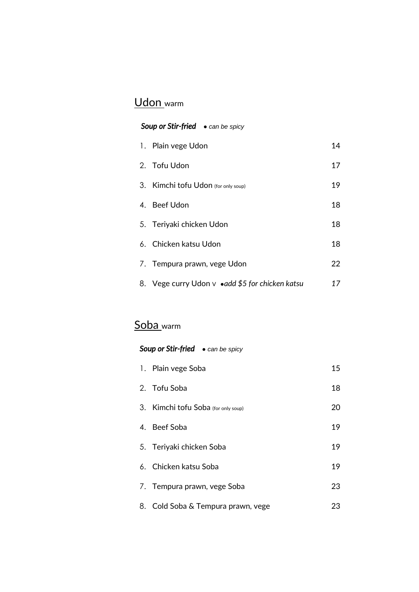# Udon warm

#### *Soup or Stir-fried ● can be spicy*

| 1. Plain vege Udon                               | 14 |
|--------------------------------------------------|----|
| 2. Tofu Udon                                     | 17 |
| 3. Kimchi tofu Udon (for only soup)              | 19 |
| 4. Beef Udon                                     | 18 |
| 5. Teriyaki chicken Udon                         | 18 |
| 6. Chicken katsu Udon                            | 18 |
| 7. Tempura prawn, vege Udon                      | 22 |
| 8. Vege curry Udon v • add \$5 for chicken katsu | 17 |

# Soba\_warm

#### *Soup or Stir-fried ● can be spicy*

| 1. Plain vege Soba                  | 15 |
|-------------------------------------|----|
| 2. Tofu Soba                        | 18 |
| 3. Kimchi tofu Soba (for only soup) | 20 |
| 4. Beef Soba                        | 19 |
| 5. Teriyaki chicken Soba            | 19 |
| 6. Chicken katsu Soba               | 19 |
| 7. Tempura prawn, vege Soba         | 23 |
| 8. Cold Soba & Tempura prawn, vege  | 23 |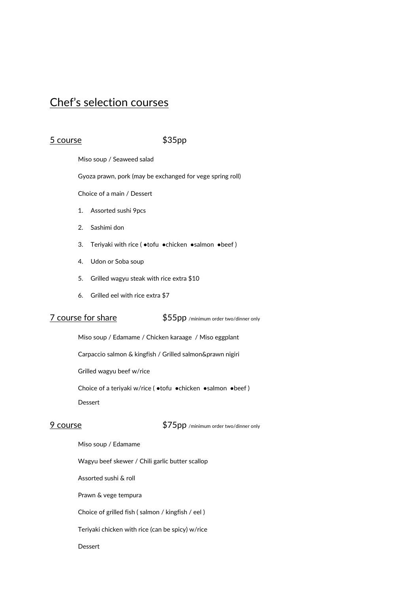#### Chef's selection courses

#### 5 course \$35pp

Miso soup / Seaweed salad

Gyoza prawn, pork (may be exchanged for vege spring roll)

Choice of a main / Dessert

- 1. Assorted sushi 9pcs
- 2. Sashimi don
- 3. Teriyaki with rice ( ●tofu ●chicken ●salmon ●beef )
- 4. Udon or Soba soup
- 5. Grilled wagyu steak with rice extra \$10
- 6. Grilled eel with rice extra \$7

7 course for share \$55pp /minimum order two/dinner only

Miso soup / Edamame / Chicken karaage / Miso eggplant

Carpaccio salmon & kingfish / Grilled salmon&prawn nigiri

Grilled wagyu beef w/rice

Choice of a teriyaki w/rice ( ●tofu ●chicken ●salmon ●beef )

Dessert

9 course \$75pp /minimum order two/dinner only

- Miso soup / Edamame
- Wagyu beef skewer / Chili garlic butter scallop

Assorted sushi & roll

Prawn & vege tempura

Choice of grilled fish ( salmon / kingfish / eel )

Teriyaki chicken with rice (can be spicy) w/rice

#### Dessert